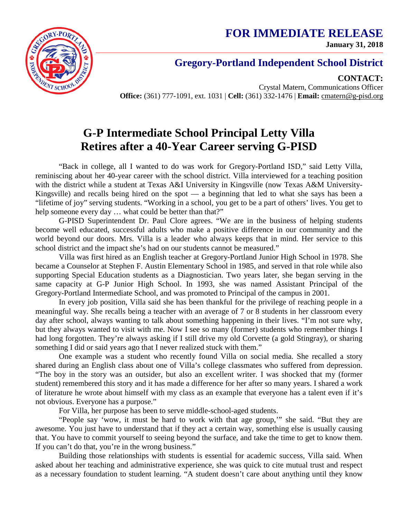**FOR IMMEDIATE RELEASE January 31, 2018**



## **Gregory-Portland Independent School District**

**CONTACT:**

Crystal Matern, Communications Officer **Office:** (361) 777-1091, ext. 1031 | **Cell:** (361) 332-1476 | **Email:** cmatern@g-pisd.org

## **G-P Intermediate School Principal Letty Villa Retires after a 40-Year Career serving G-PISD**

"Back in college, all I wanted to do was work for Gregory-Portland ISD," said Letty Villa, reminiscing about her 40-year career with the school district. Villa interviewed for a teaching position with the district while a student at Texas A&I University in Kingsville (now Texas A&M University-Kingsville) and recalls being hired on the spot — a beginning that led to what she says has been a "lifetime of joy" serving students. "Working in a school, you get to be a part of others' lives. You get to help someone every day ... what could be better than that?"

G-PISD Superintendent Dr. Paul Clore agrees. "We are in the business of helping students become well educated, successful adults who make a positive difference in our community and the world beyond our doors. Mrs. Villa is a leader who always keeps that in mind. Her service to this school district and the impact she's had on our students cannot be measured."

Villa was first hired as an English teacher at Gregory-Portland Junior High School in 1978. She became a Counselor at Stephen F. Austin Elementary School in 1985, and served in that role while also supporting Special Education students as a Diagnostician. Two years later, she began serving in the same capacity at G-P Junior High School. In 1993, she was named Assistant Principal of the Gregory-Portland Intermediate School, and was promoted to Principal of the campus in 2001.

In every job position, Villa said she has been thankful for the privilege of reaching people in a meaningful way. She recalls being a teacher with an average of 7 or 8 students in her classroom every day after school, always wanting to talk about something happening in their lives. "I'm not sure why, but they always wanted to visit with me. Now I see so many (former) students who remember things I had long forgotten. They're always asking if I still drive my old Corvette (a gold Stingray), or sharing something I did or said years ago that I never realized stuck with them."

One example was a student who recently found Villa on social media. She recalled a story shared during an English class about one of Villa's college classmates who suffered from depression. "The boy in the story was an outsider, but also an excellent writer. I was shocked that my (former student) remembered this story and it has made a difference for her after so many years. I shared a work of literature he wrote about himself with my class as an example that everyone has a talent even if it's not obvious. Everyone has a purpose."

For Villa, her purpose has been to serve middle-school-aged students.

"People say 'wow, it must be hard to work with that age group,'" she said. "But they are awesome. You just have to understand that if they act a certain way, something else is usually causing that. You have to commit yourself to seeing beyond the surface, and take the time to get to know them. If you can't do that, you're in the wrong business."

Building those relationships with students is essential for academic success, Villa said. When asked about her teaching and administrative experience, she was quick to cite mutual trust and respect as a necessary foundation to student learning. "A student doesn't care about anything until they know